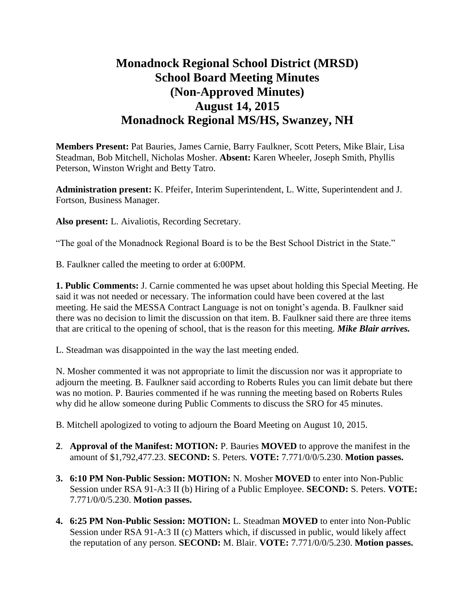## **Monadnock Regional School District (MRSD) School Board Meeting Minutes (Non-Approved Minutes) August 14, 2015 Monadnock Regional MS/HS, Swanzey, NH**

**Members Present:** Pat Bauries, James Carnie, Barry Faulkner, Scott Peters, Mike Blair, Lisa Steadman, Bob Mitchell, Nicholas Mosher. **Absent:** Karen Wheeler, Joseph Smith, Phyllis Peterson, Winston Wright and Betty Tatro.

**Administration present:** K. Pfeifer, Interim Superintendent, L. Witte, Superintendent and J. Fortson, Business Manager.

**Also present:** L. Aivaliotis, Recording Secretary.

"The goal of the Monadnock Regional Board is to be the Best School District in the State."

B. Faulkner called the meeting to order at 6:00PM.

**1. Public Comments:** J. Carnie commented he was upset about holding this Special Meeting. He said it was not needed or necessary. The information could have been covered at the last meeting. He said the MESSA Contract Language is not on tonight's agenda. B. Faulkner said there was no decision to limit the discussion on that item. B. Faulkner said there are three items that are critical to the opening of school, that is the reason for this meeting. *Mike Blair arrives.* 

L. Steadman was disappointed in the way the last meeting ended.

N. Mosher commented it was not appropriate to limit the discussion nor was it appropriate to adjourn the meeting. B. Faulkner said according to Roberts Rules you can limit debate but there was no motion. P. Bauries commented if he was running the meeting based on Roberts Rules why did he allow someone during Public Comments to discuss the SRO for 45 minutes.

B. Mitchell apologized to voting to adjourn the Board Meeting on August 10, 2015.

- **2**. **Approval of the Manifest: MOTION:** P. Bauries **MOVED** to approve the manifest in the amount of \$1,792,477.23. **SECOND:** S. Peters. **VOTE:** 7.771/0/0/5.230. **Motion passes.**
- **3. 6:10 PM Non-Public Session: MOTION:** N. Mosher **MOVED** to enter into Non-Public Session under RSA 91-A:3 II (b) Hiring of a Public Employee. **SECOND:** S. Peters. **VOTE:**  7.771/0/0/5.230. **Motion passes.**
- **4. 6:25 PM Non-Public Session: MOTION:** L. Steadman **MOVED** to enter into Non-Public Session under RSA 91-A:3 II (c) Matters which, if discussed in public, would likely affect the reputation of any person. **SECOND:** M. Blair. **VOTE:** 7.771/0/0/5.230. **Motion passes.**